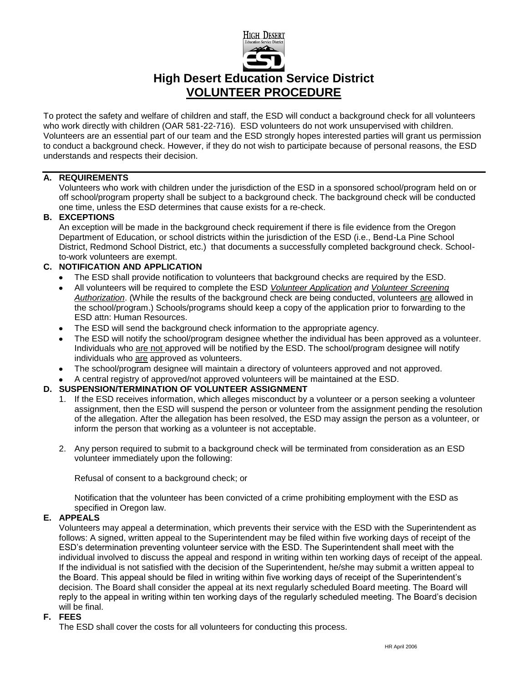

## **High Desert Education Service District VOLUNTEER PROCEDURE**

To protect the safety and welfare of children and staff, the ESD will conduct a background check for all volunteers who work directly with children (OAR 581-22-716). ESD volunteers do not work unsupervised with children. Volunteers are an essential part of our team and the ESD strongly hopes interested parties will grant us permission to conduct a background check. However, if they do not wish to participate because of personal reasons, the ESD understands and respects their decision.

## **A. REQUIREMENTS**

Volunteers who work with children under the jurisdiction of the ESD in a sponsored school/program held on or off school/program property shall be subject to a background check. The background check will be conducted one time, unless the ESD determines that cause exists for a re-check.

## **B. EXCEPTIONS**

An exception will be made in the background check requirement if there is file evidence from the Oregon Department of Education, or school districts within the jurisdiction of the ESD (i.e., Bend-La Pine School District, Redmond School District, etc.) that documents a successfully completed background check. Schoolto-work volunteers are exempt.

## **C. NOTIFICATION AND APPLICATION**

- The ESD shall provide notification to volunteers that background checks are required by the ESD.
- All volunteers will be required to complete the ESD *Volunteer Application and Volunteer Screening Authorization*. (While the results of the background check are being conducted, volunteers are allowed in the school/program.) Schools/programs should keep a copy of the application prior to forwarding to the ESD attn: Human Resources.
- The ESD will send the background check information to the appropriate agency.  $\bullet$
- The ESD will notify the school/program designee whether the individual has been approved as a volunteer. Individuals who are not approved will be notified by the ESD. The school/program designee will notify individuals who are approved as volunteers.
- The school/program designee will maintain a directory of volunteers approved and not approved.  $\bullet$
- A central registry of approved/not approved volunteers will be maintained at the ESD.

## **D. SUSPENSION/TERMINATION OF VOLUNTEER ASSIGNMENT**

- 1. If the ESD receives information, which alleges misconduct by a volunteer or a person seeking a volunteer assignment, then the ESD will suspend the person or volunteer from the assignment pending the resolution of the allegation. After the allegation has been resolved, the ESD may assign the person as a volunteer, or inform the person that working as a volunteer is not acceptable.
- 2. Any person required to submit to a background check will be terminated from consideration as an ESD volunteer immediately upon the following:

Refusal of consent to a background check; or

Notification that the volunteer has been convicted of a crime prohibiting employment with the ESD as specified in Oregon law.

## **E. APPEALS**

Volunteers may appeal a determination, which prevents their service with the ESD with the Superintendent as follows: A signed, written appeal to the Superintendent may be filed within five working days of receipt of the ESD's determination preventing volunteer service with the ESD. The Superintendent shall meet with the individual involved to discuss the appeal and respond in writing within ten working days of receipt of the appeal. If the individual is not satisfied with the decision of the Superintendent, he/she may submit a written appeal to the Board. This appeal should be filed in writing within five working days of receipt of the Superintendent's decision. The Board shall consider the appeal at its next regularly scheduled Board meeting. The Board will reply to the appeal in writing within ten working days of the regularly scheduled meeting. The Board's decision will be final.

## **F. FEES**

The ESD shall cover the costs for all volunteers for conducting this process.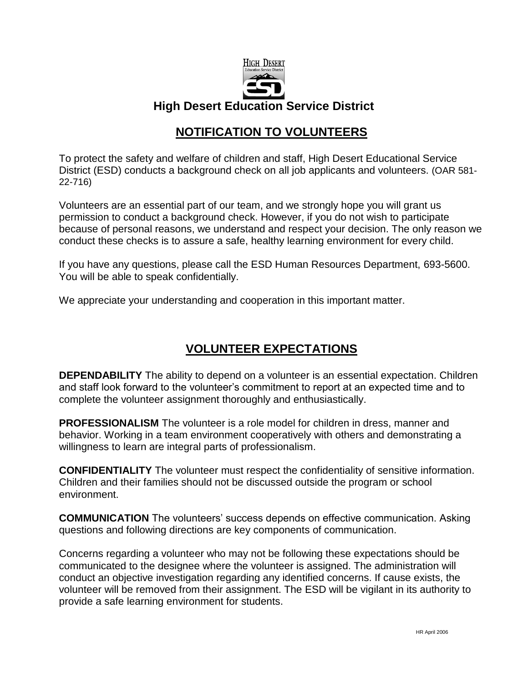

## **High Desert Education Service District**

## **NOTIFICATION TO VOLUNTEERS**

To protect the safety and welfare of children and staff, High Desert Educational Service District (ESD) conducts a background check on all job applicants and volunteers. (OAR 581- 22-716)

Volunteers are an essential part of our team, and we strongly hope you will grant us permission to conduct a background check. However, if you do not wish to participate because of personal reasons, we understand and respect your decision. The only reason we conduct these checks is to assure a safe, healthy learning environment for every child.

If you have any questions, please call the ESD Human Resources Department, 693-5600. You will be able to speak confidentially.

We appreciate your understanding and cooperation in this important matter.

# **VOLUNTEER EXPECTATIONS**

**DEPENDABILITY** The ability to depend on a volunteer is an essential expectation. Children and staff look forward to the volunteer's commitment to report at an expected time and to complete the volunteer assignment thoroughly and enthusiastically.

**PROFESSIONALISM** The volunteer is a role model for children in dress, manner and behavior. Working in a team environment cooperatively with others and demonstrating a willingness to learn are integral parts of professionalism.

**CONFIDENTIALITY** The volunteer must respect the confidentiality of sensitive information. Children and their families should not be discussed outside the program or school environment.

**COMMUNICATION** The volunteers' success depends on effective communication. Asking questions and following directions are key components of communication.

Concerns regarding a volunteer who may not be following these expectations should be communicated to the designee where the volunteer is assigned. The administration will conduct an objective investigation regarding any identified concerns. If cause exists, the volunteer will be removed from their assignment. The ESD will be vigilant in its authority to provide a safe learning environment for students.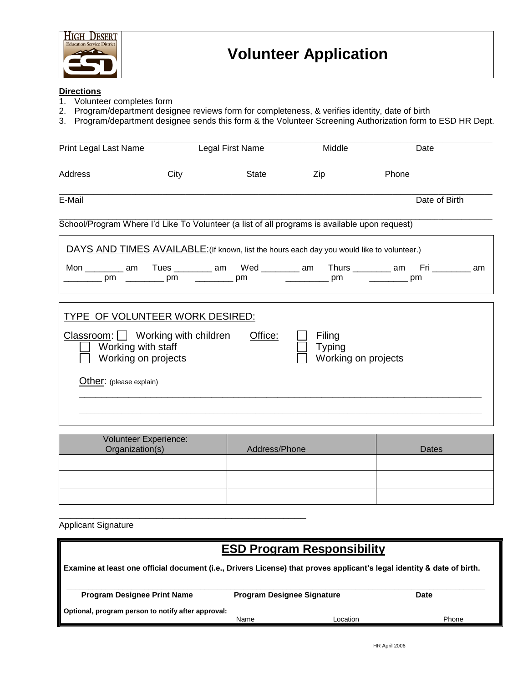

# **Directions**<br>1. Volunte

- 1. Volunteer completes form
- 2. Program/department designee reviews form for completeness, & verifies identity, date of birth
- 3. Program/department designee sends this form & the Volunteer Screening Authorization form to ESD HR Dept.

| Print Legal Last Name                                                                                                                                                                                      |      | Legal First Name | Middle | Date                                                                                     |  |
|------------------------------------------------------------------------------------------------------------------------------------------------------------------------------------------------------------|------|------------------|--------|------------------------------------------------------------------------------------------|--|
| Address                                                                                                                                                                                                    | City | <b>State</b>     | Zip    | Phone                                                                                    |  |
| E-Mail                                                                                                                                                                                                     |      |                  |        | Date of Birth                                                                            |  |
| School/Program Where I'd Like To Volunteer (a list of all programs is available upon request)                                                                                                              |      |                  |        |                                                                                          |  |
| DAYS AND TIMES AVAILABLE: (If known, list the hours each day you would like to volunteer.)                                                                                                                 |      |                  |        |                                                                                          |  |
| pm pm pm                                                                                                                                                                                                   |      |                  |        | Mon _________ am  Tues _________ am  Wed ________ am  Thurs ________ am  Fri ________ am |  |
| TYPE OF VOLUNTEER WORK DESIRED:<br>Office:<br>$Classroom:$ Working with children<br>Filing<br>Working with staff<br><b>Typing</b><br>Working on projects<br>Working on projects<br>Other: (please explain) |      |                  |        |                                                                                          |  |
|                                                                                                                                                                                                            |      |                  |        |                                                                                          |  |

| Volunteer Experience:<br>Organization(s) | Address/Phone | Dates |
|------------------------------------------|---------------|-------|
|                                          |               |       |
|                                          |               |       |
|                                          |               |       |

Applicant Signature

**\_\_\_\_\_\_\_\_\_\_\_\_\_\_\_\_\_\_\_\_\_\_\_\_\_\_\_\_\_\_\_\_\_\_\_\_\_\_\_\_\_\_\_** 

# **ESD Program Responsibility**

**Examine at least one official document (i.e., Drivers License) that proves applicant's legal identity & date of birth.**

| <b>Program Designee Print Name</b>                 | <b>Program Designee Signature</b> |          | Date  |  |
|----------------------------------------------------|-----------------------------------|----------|-------|--|
| Optional, program person to notify after approval: | Name                              | _ocation | Phone |  |